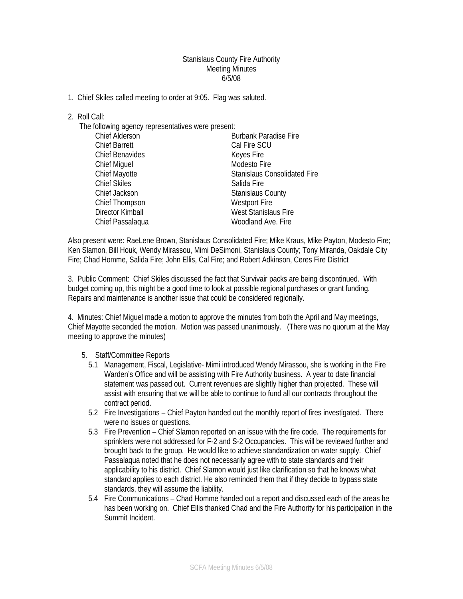## Stanislaus County Fire Authority Meeting Minutes 6/5/08

1. Chief Skiles called meeting to order at 9:05. Flag was saluted.

## 2. Roll Call:

The following agency representatives were present:

| <b>Chief Alderson</b>  | <b>Burbank Paradise Fire</b>        |
|------------------------|-------------------------------------|
| <b>Chief Barrett</b>   | Cal Fire SCU                        |
| <b>Chief Benavides</b> | Keyes Fire                          |
| <b>Chief Miguel</b>    | Modesto Fire                        |
| <b>Chief Mayotte</b>   | <b>Stanislaus Consolidated Fire</b> |
| <b>Chief Skiles</b>    | Salida Fire                         |
| Chief Jackson          | <b>Stanislaus County</b>            |
| Chief Thompson         | <b>Westport Fire</b>                |
| Director Kimball       | <b>West Stanislaus Fire</b>         |
| Chief Passalaqua       | Woodland Ave. Fire                  |
|                        |                                     |

Also present were: RaeLene Brown, Stanislaus Consolidated Fire; Mike Kraus, Mike Payton, Modesto Fire; Ken Slamon, Bill Houk, Wendy Mirassou, Mimi DeSimoni, Stanislaus County; Tony Miranda, Oakdale City Fire; Chad Homme, Salida Fire; John Ellis, Cal Fire; and Robert Adkinson, Ceres Fire District

3. Public Comment: Chief Skiles discussed the fact that Survivair packs are being discontinued. With budget coming up, this might be a good time to look at possible regional purchases or grant funding. Repairs and maintenance is another issue that could be considered regionally.

4. Minutes: Chief Miguel made a motion to approve the minutes from both the April and May meetings, Chief Mayotte seconded the motion. Motion was passed unanimously. (There was no quorum at the May meeting to approve the minutes)

## 5. Staff/Committee Reports

- 5.1 Management, Fiscal, Legislative- Mimi introduced Wendy Mirassou, she is working in the Fire Warden's Office and will be assisting with Fire Authority business. A year to date financial statement was passed out. Current revenues are slightly higher than projected. These will assist with ensuring that we will be able to continue to fund all our contracts throughout the contract period.
- 5.2 Fire Investigations Chief Payton handed out the monthly report of fires investigated. There were no issues or questions.
- 5.3 Fire Prevention Chief Slamon reported on an issue with the fire code. The requirements for sprinklers were not addressed for F-2 and S-2 Occupancies. This will be reviewed further and brought back to the group. He would like to achieve standardization on water supply. Chief Passalaqua noted that he does not necessarily agree with to state standards and their applicability to his district. Chief Slamon would just like clarification so that he knows what standard applies to each district. He also reminded them that if they decide to bypass state standards, they will assume the liability.
- 5.4 Fire Communications Chad Homme handed out a report and discussed each of the areas he has been working on. Chief Ellis thanked Chad and the Fire Authority for his participation in the Summit Incident.